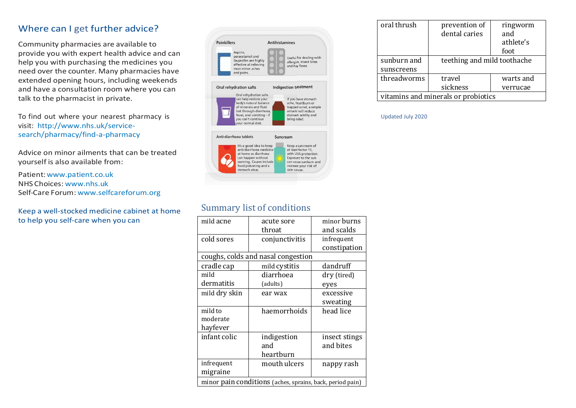#### Where can I get further advice?

Community pharmacies are available to provide you with expert health advice and can help you with purchasing the medicines you need over the counter. Many pharmacies have extended opening hours, including weekends and have a consultation room where you can talk to the pharmacist in private.

To find out where your nearest pharmacy is visit: [http://www.nhs.uk/service](http://www.nhs.uk/service-search/pharmacy/find-a-pharmacy)[search/pharmacy/find-a-pharmacy](http://www.nhs.uk/service-search/pharmacy/find-a-pharmacy)

Advice on minor ailments that can be treated yourself is also available from:

Patient:[www.patient.co.uk](http://www.patient.co.uk/) NHS Choices: [www.nhs.uk](http://www.nhs.uk/) Self-Care Forum: [www.selfcareforum.org](http://www.selfcareforum.org/)

Keep a well-stocked medicine cabinet at home to help you self-care when you can

| <b>Painkillers</b>                                                                                                                                                                                   | <b>Antihistamines</b>                                                                                                                                      |
|------------------------------------------------------------------------------------------------------------------------------------------------------------------------------------------------------|------------------------------------------------------------------------------------------------------------------------------------------------------------|
| Aspirin,<br>paracetamol and<br>ibuprofen are highly<br>effective at relieving<br>most minor aches<br>and pains.                                                                                      | Useful for dealing with<br>allergies, insect bites<br>and hay fever.                                                                                       |
| <b>Oral rehydration salts</b>                                                                                                                                                                        | <b>Indigestion treatment</b>                                                                                                                               |
| Oral rehydration salts<br>can help restore your<br>body's natural balance<br>of minerals and fluid<br>lost through diarrhoea.<br>fever, and vomiting - if<br>you can't continue<br>your normal diet. | If you have stomach<br>ache, heartburn or<br>trapped wind, a simple<br>antacid will reduce<br>stomach acidity and<br>bring relief.                         |
| Anti-diarrhoea tablets                                                                                                                                                                               | Suncream                                                                                                                                                   |
| It's a good idea to keep<br>anti-diarrhoea medicine<br>at home as diarrhoea<br>can happen without<br>warning. Causes include<br>food poisoning and a<br>stomach virus.                               | Keep a suncream of<br>at least factor 15,<br>with UVA protection.<br>Exposure to the sun<br>can cause sunburn and<br>increase your risk of<br>skin cancer. |

| oral thrush                         | prevention of<br>dental caries | ringworm<br>and<br>athlete's<br>foot |  |
|-------------------------------------|--------------------------------|--------------------------------------|--|
| sunburn and                         |                                | teething and mild toothache          |  |
| sunscreens                          |                                |                                      |  |
| threadworms                         | travel                         | warts and                            |  |
|                                     | sickness                       | verrucae                             |  |
| vitamins and minerals or probiotics |                                |                                      |  |

#### Updated July 2020

#### Summary list of conditions

| mild acne                                                 | acute sore     | minor burns   |  |
|-----------------------------------------------------------|----------------|---------------|--|
|                                                           | throat         | and scalds    |  |
| cold sores                                                | conjunctivitis | infrequent    |  |
|                                                           |                | constipation  |  |
| coughs, colds and nasal congestion                        |                |               |  |
| cradle cap                                                | mild cystitis  | dandruff      |  |
| mild                                                      | diarrhoea      | dry (tired)   |  |
| dermatitis                                                | (adults)       | eyes          |  |
| mild dry skin                                             | ear wax        | excessive     |  |
|                                                           |                | sweating      |  |
| mild to                                                   | haemorrhoids   | head lice     |  |
| moderate                                                  |                |               |  |
| hayfever                                                  |                |               |  |
| infant colic                                              | indigestion    | insect stings |  |
|                                                           | and            | and bites     |  |
|                                                           | heartburn      |               |  |
| infrequent                                                | mouth ulcers   | nappy rash    |  |
| migraine                                                  |                |               |  |
| minor pain conditions (aches, sprains, back, period pain) |                |               |  |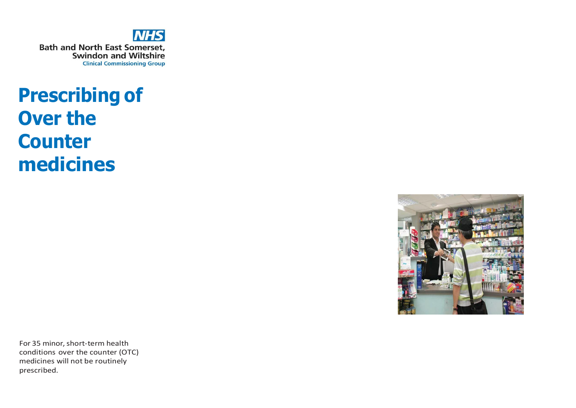

# **Prescribing of Over the Counter medicines**



For 35 minor, short-term health conditions over the counter (OTC) medicines will not be routinely prescribed.